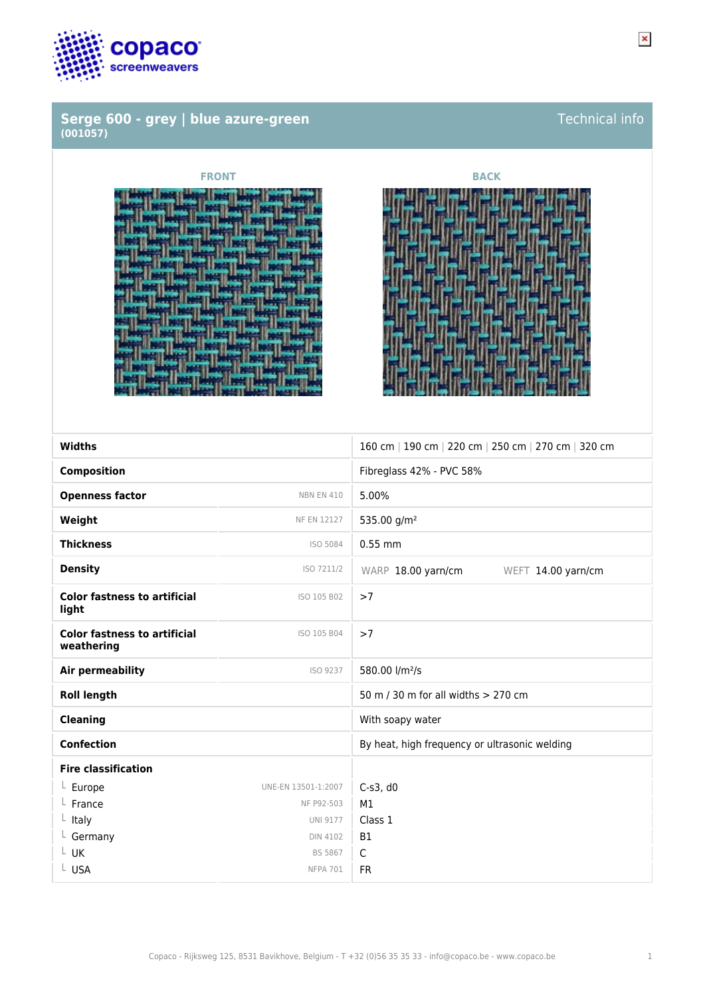

### **Serge 600 - grey | blue azure-green (001057)**



| <b>Widths</b>                                     |                     | 160 cm   190 cm   220 cm   250 cm   270 cm   320 cm |
|---------------------------------------------------|---------------------|-----------------------------------------------------|
| <b>Composition</b>                                |                     | Fibreglass 42% - PVC 58%                            |
| <b>Openness factor</b>                            | <b>NBN EN 410</b>   | 5.00%                                               |
| Weight                                            | <b>NF EN 12127</b>  | 535.00 g/m <sup>2</sup>                             |
| <b>Thickness</b>                                  | ISO 5084            | $0.55$ mm                                           |
| <b>Density</b>                                    | ISO 7211/2          | WARP 18.00 yarn/cm<br>WEFT 14.00 yarn/cm            |
| <b>Color fastness to artificial</b><br>light      | ISO 105 B02         | >7                                                  |
| <b>Color fastness to artificial</b><br>weathering | ISO 105 B04         | >7                                                  |
| Air permeability                                  | ISO 9237            | 580.00 l/m <sup>2</sup> /s                          |
| <b>Roll length</b>                                |                     | 50 m / 30 m for all widths > 270 cm                 |
| <b>Cleaning</b>                                   |                     | With soapy water                                    |
| <b>Confection</b>                                 |                     | By heat, high frequency or ultrasonic welding       |
| <b>Fire classification</b>                        |                     |                                                     |
| $L$ Europe                                        | UNE-EN 13501-1:2007 | $C-S3, d0$                                          |
| France                                            | NF P92-503          | M1                                                  |
| Italy                                             | <b>UNI 9177</b>     | Class 1                                             |
| L Germany                                         | <b>DIN 4102</b>     | <b>B1</b>                                           |
| $L$ UK                                            | <b>BS 5867</b>      | C                                                   |
| L USA                                             | NFPA 701            | <b>FR</b>                                           |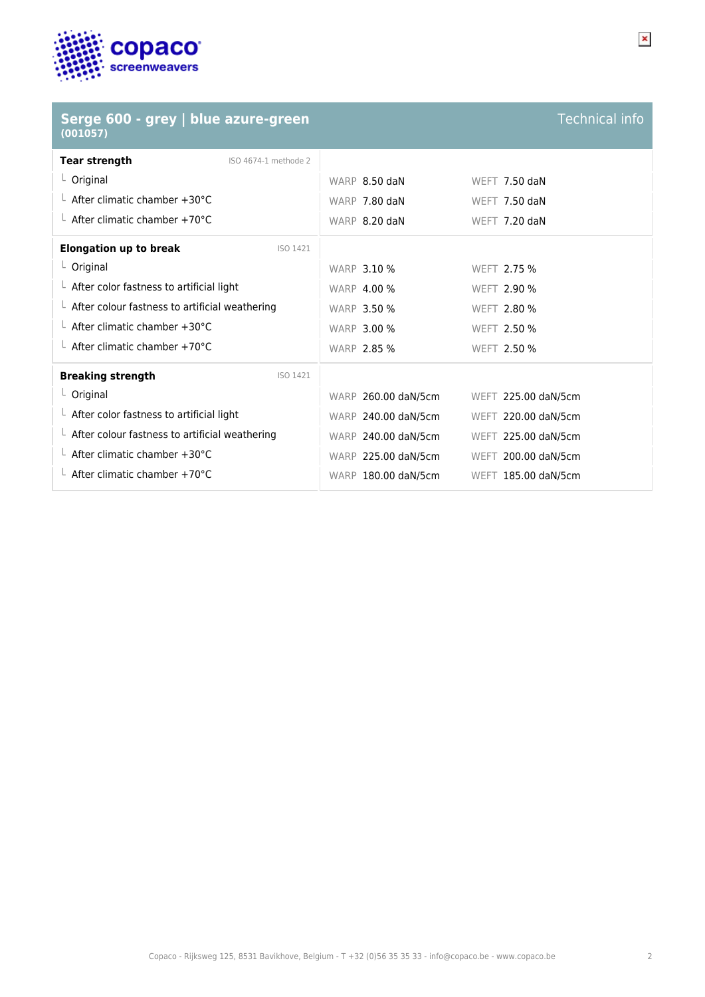

| Serge 600 - grey   blue azure-green<br>(001057)        |                     | <b>Technical info</b> |
|--------------------------------------------------------|---------------------|-----------------------|
| <b>Tear strength</b><br>ISO 4674-1 methode 2           |                     |                       |
| L Original                                             | WARP 8.50 daN       | WEFT 7.50 daN         |
| $\perp$ After climatic chamber +30°C                   | WARP 7.80 daN       | WEFT 7.50 daN         |
| $L$ After climatic chamber +70°C                       | WARP 8.20 daN       | WEFT 7.20 daN         |
| <b>Elongation up to break</b><br>ISO 1421              |                     |                       |
| $L$ Original                                           | <b>WARP 3.10 %</b>  | WEFT 2.75 %           |
| $\perp$ After color fastness to artificial light       | <b>WARP 4.00 %</b>  | WEFT 2.90 %           |
| $\perp$ After colour fastness to artificial weathering | <b>WARP 3.50 %</b>  | WEFT 2.80 %           |
| $L$ After climatic chamber +30°C                       | <b>WARP 3.00 %</b>  | WEFT 2.50 %           |
| $\perp$ After climatic chamber +70°C                   | <b>WARP 2.85 %</b>  | WEFT 2.50 %           |
| <b>Breaking strength</b><br>ISO 1421                   |                     |                       |
| $L$ Original                                           | WARP 260.00 daN/5cm | WEFT 225.00 daN/5cm   |
| $\perp$ After color fastness to artificial light       | WARP 240.00 daN/5cm | WEFT 220.00 daN/5cm   |
| $\perp$ After colour fastness to artificial weathering | WARP 240.00 daN/5cm | WEFT 225.00 daN/5cm   |
| $\perp$ After climatic chamber +30°C                   | WARP 225.00 daN/5cm | WEFT 200.00 daN/5cm   |
| L After climatic chamber +70°C                         | WARP 180.00 daN/5cm | WEFT 185.00 daN/5cm   |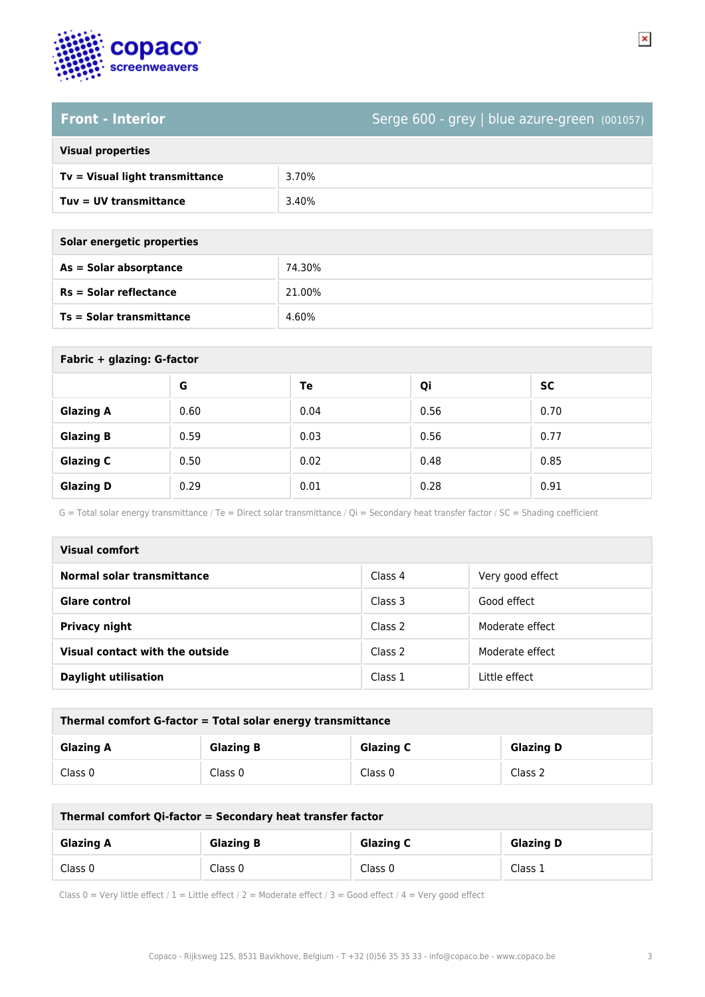

## **Front - Interior** Serge 600 - grey | blue azure-green (001057)

| <b>Visual properties</b> |  |  |
|--------------------------|--|--|
|                          |  |  |

| Tv = Visual light transmittance | 3.70% |
|---------------------------------|-------|
| Tuy = UV transmittance          | 3.40% |
|                                 |       |

| Solar energetic properties |
|----------------------------|
| As = Solar absorptance     |

| As = Solar absorptance          | 74.30% |
|---------------------------------|--------|
| $Rs = Solar$ reflectance        | 21.00% |
| <b>Ts = Solar transmittance</b> | 4.60%  |

| Fabric + glazing: G-factor |      |      |      |           |
|----------------------------|------|------|------|-----------|
|                            | G    | Te   | Qi   | <b>SC</b> |
| <b>Glazing A</b>           | 0.60 | 0.04 | 0.56 | 0.70      |
| <b>Glazing B</b>           | 0.59 | 0.03 | 0.56 | 0.77      |
| <b>Glazing C</b>           | 0.50 | 0.02 | 0.48 | 0.85      |
| <b>Glazing D</b>           | 0.29 | 0.01 | 0.28 | 0.91      |

G = Total solar energy transmittance / Te = Direct solar transmittance / Qi = Secondary heat transfer factor / SC = Shading coefficient

| Visual comfort                  |         |                  |
|---------------------------------|---------|------------------|
| Normal solar transmittance      | Class 4 | Very good effect |
| Glare control                   | Class 3 | Good effect      |
| <b>Privacy night</b>            | Class 2 | Moderate effect  |
| Visual contact with the outside | Class 2 | Moderate effect  |
| <b>Daylight utilisation</b>     | Class 1 | Little effect    |

| Thermal comfort G-factor = Total solar energy transmittance |                  |                  |                  |
|-------------------------------------------------------------|------------------|------------------|------------------|
| <b>Glazing A</b>                                            | <b>Glazing B</b> | <b>Glazing C</b> | <b>Glazing D</b> |
| Class 0                                                     | Class 0          | Class 0          | Class 2          |

| Thermal comfort Qi-factor = Secondary heat transfer factor |                  |                  |                  |
|------------------------------------------------------------|------------------|------------------|------------------|
| <b>Glazing A</b>                                           | <b>Glazing B</b> | <b>Glazing C</b> | <b>Glazing D</b> |
| Class 0                                                    | Class 0          | Class 0          | Class 1          |

Class 0 = Very little effect / 1 = Little effect / 2 = Moderate effect / 3 = Good effect / 4 = Very good effect

 $\pmb{\times}$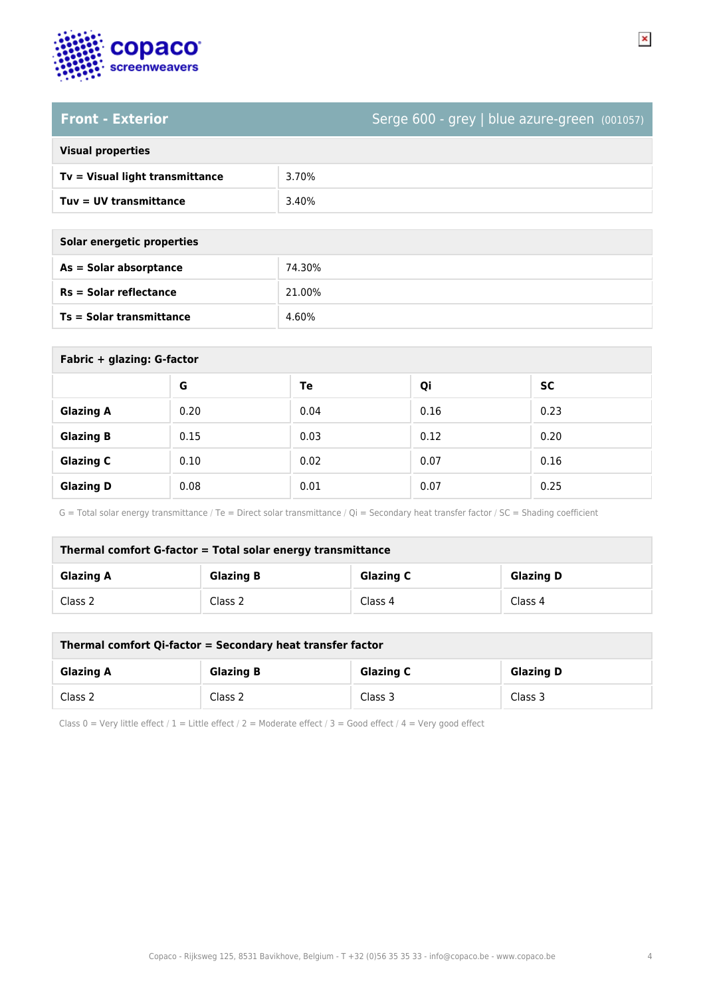

### **Front - Exterior** Serge 600 - grey | blue azure-green (001057)

| <b>Visual properties</b> |  |
|--------------------------|--|
|                          |  |

| --------------------            |       |
|---------------------------------|-------|
| Tv = Visual light transmittance | 3.70% |
| $Tuv = UV$ transmittance        | 3.40% |
|                                 |       |

| Solar energetic properties |  |
|----------------------------|--|
| As = Solar absorptance     |  |

| $As = Solar absorptance$        | 74.30% |
|---------------------------------|--------|
| $Rs = Solar$ reflectance        | 21.00% |
| <b>Ts = Solar transmittance</b> | 4.60%  |

| Fabric + glazing: G-factor |      |      |      |           |
|----------------------------|------|------|------|-----------|
|                            | G    | Te   | Qi   | <b>SC</b> |
| <b>Glazing A</b>           | 0.20 | 0.04 | 0.16 | 0.23      |
| <b>Glazing B</b>           | 0.15 | 0.03 | 0.12 | 0.20      |
| <b>Glazing C</b>           | 0.10 | 0.02 | 0.07 | 0.16      |
| <b>Glazing D</b>           | 0.08 | 0.01 | 0.07 | 0.25      |

G = Total solar energy transmittance / Te = Direct solar transmittance / Qi = Secondary heat transfer factor / SC = Shading coefficient

| Thermal comfort G-factor = Total solar energy transmittance                  |         |         |         |  |
|------------------------------------------------------------------------------|---------|---------|---------|--|
| <b>Glazing C</b><br><b>Glazing B</b><br><b>Glazing A</b><br><b>Glazing D</b> |         |         |         |  |
| Class 2                                                                      | Class 2 | Class 4 | Class 4 |  |

| Thermal comfort Qi-factor = Secondary heat transfer factor                   |         |         |         |  |
|------------------------------------------------------------------------------|---------|---------|---------|--|
| <b>Glazing B</b><br><b>Glazing C</b><br><b>Glazing D</b><br><b>Glazing A</b> |         |         |         |  |
| Class 2                                                                      | Class 2 | Class 3 | Class 3 |  |

Class 0 = Very little effect / 1 = Little effect / 2 = Moderate effect / 3 = Good effect / 4 = Very good effect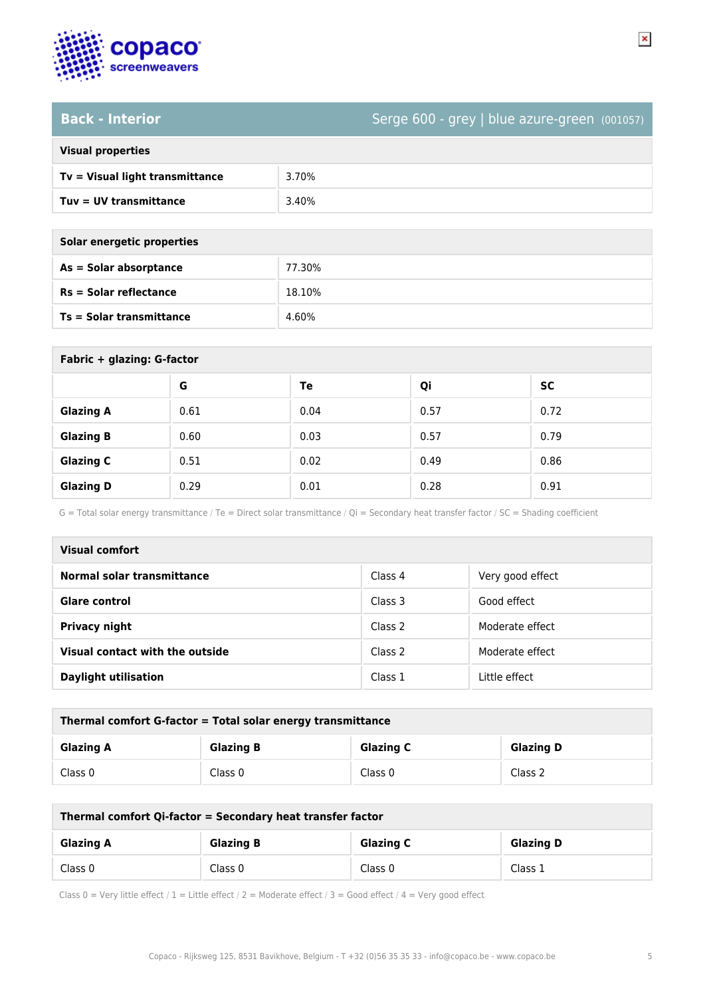

### **Back - Interior** Serge 600 - grey | blue azure-green (001057)

| <b>Visual properties</b> |  |  |
|--------------------------|--|--|
|                          |  |  |

| Tv = Visual light transmittance | 3.70% |
|---------------------------------|-------|
| Tuy = UV transmittance          | 3.40% |

| Solar energetic properties |  |
|----------------------------|--|
| As = Solar absorptance     |  |

| As = Solar absorptance   | 77.30% |
|--------------------------|--------|
| $Rs = Solar$ reflectance | 18.10% |
| Ts = Solar transmittance | 4.60%  |

| Fabric + glazing: G-factor |      |      |      |           |
|----------------------------|------|------|------|-----------|
|                            | G    | Te   | Qi   | <b>SC</b> |
| <b>Glazing A</b>           | 0.61 | 0.04 | 0.57 | 0.72      |
| <b>Glazing B</b>           | 0.60 | 0.03 | 0.57 | 0.79      |
| <b>Glazing C</b>           | 0.51 | 0.02 | 0.49 | 0.86      |
| <b>Glazing D</b>           | 0.29 | 0.01 | 0.28 | 0.91      |

G = Total solar energy transmittance / Te = Direct solar transmittance / Qi = Secondary heat transfer factor / SC = Shading coefficient

| Visual comfort                  |         |                  |  |  |
|---------------------------------|---------|------------------|--|--|
| Normal solar transmittance      | Class 4 | Very good effect |  |  |
| Glare control                   | Class 3 | Good effect      |  |  |
| <b>Privacy night</b>            | Class 2 | Moderate effect  |  |  |
| Visual contact with the outside | Class 2 | Moderate effect  |  |  |
| <b>Daylight utilisation</b>     | Class 1 | Little effect    |  |  |

| Thermal comfort G-factor = Total solar energy transmittance                  |         |         |         |  |
|------------------------------------------------------------------------------|---------|---------|---------|--|
| <b>Glazing C</b><br><b>Glazing B</b><br><b>Glazing D</b><br><b>Glazing A</b> |         |         |         |  |
| Class 0                                                                      | Class 0 | Class 0 | Class 2 |  |

| Thermal comfort Qi-factor = Secondary heat transfer factor |                  |                  |                  |  |
|------------------------------------------------------------|------------------|------------------|------------------|--|
| <b>Glazing A</b>                                           | <b>Glazing B</b> | <b>Glazing C</b> | <b>Glazing D</b> |  |
| Class 0                                                    | Class 0          | Class 0          | Class 1          |  |

Class 0 = Very little effect / 1 = Little effect / 2 = Moderate effect / 3 = Good effect / 4 = Very good effect

 $\pmb{\times}$